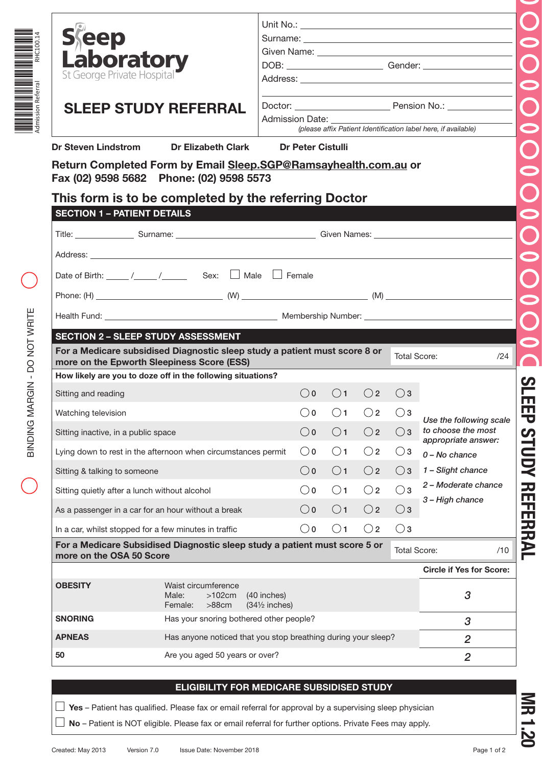| Laboratory<br>St George Private Hospital<br><b>SLEEP STUDY REFERRAL</b><br><b>Dr Steven Lindstrom</b>                                                                                                                                                                                                                                                                                                                                                                                                                                                                             |                                                               |                          |                                                                                                                                                                 |              |              |                     |                                               |     |
|-----------------------------------------------------------------------------------------------------------------------------------------------------------------------------------------------------------------------------------------------------------------------------------------------------------------------------------------------------------------------------------------------------------------------------------------------------------------------------------------------------------------------------------------------------------------------------------|---------------------------------------------------------------|--------------------------|-----------------------------------------------------------------------------------------------------------------------------------------------------------------|--------------|--------------|---------------------|-----------------------------------------------|-----|
|                                                                                                                                                                                                                                                                                                                                                                                                                                                                                                                                                                                   |                                                               |                          |                                                                                                                                                                 |              |              |                     |                                               |     |
|                                                                                                                                                                                                                                                                                                                                                                                                                                                                                                                                                                                   |                                                               |                          | the control of the control of the control of the control of the control of<br>Admission Date:<br>(please affix Patient Identification label here, if available) |              |              |                     |                                               |     |
|                                                                                                                                                                                                                                                                                                                                                                                                                                                                                                                                                                                   |                                                               |                          |                                                                                                                                                                 |              |              |                     |                                               |     |
|                                                                                                                                                                                                                                                                                                                                                                                                                                                                                                                                                                                   | Dr Elizabeth Clark                                            |                          | <b>Dr Peter Cistulli</b>                                                                                                                                        |              |              |                     |                                               |     |
| Return Completed Form by Email Sleep.SGP@Ramsayhealth.com.au or                                                                                                                                                                                                                                                                                                                                                                                                                                                                                                                   |                                                               |                          |                                                                                                                                                                 |              |              |                     |                                               |     |
| Fax (02) 9598 5682 Phone: (02) 9598 5573                                                                                                                                                                                                                                                                                                                                                                                                                                                                                                                                          |                                                               |                          |                                                                                                                                                                 |              |              |                     |                                               |     |
|                                                                                                                                                                                                                                                                                                                                                                                                                                                                                                                                                                                   |                                                               |                          |                                                                                                                                                                 |              |              |                     |                                               |     |
|                                                                                                                                                                                                                                                                                                                                                                                                                                                                                                                                                                                   |                                                               |                          |                                                                                                                                                                 |              |              |                     |                                               |     |
| This form is to be completed by the referring Doctor                                                                                                                                                                                                                                                                                                                                                                                                                                                                                                                              |                                                               |                          |                                                                                                                                                                 |              |              |                     |                                               |     |
| <b>SECTION 1 - PATIENT DETAILS</b>                                                                                                                                                                                                                                                                                                                                                                                                                                                                                                                                                |                                                               |                          |                                                                                                                                                                 |              |              |                     |                                               |     |
|                                                                                                                                                                                                                                                                                                                                                                                                                                                                                                                                                                                   |                                                               |                          |                                                                                                                                                                 |              |              |                     |                                               |     |
| Title: Surname: Surname: Surname: Surname: Surname: Surname: Surname: Surname: Surname: Surname: Surname: Surname: Surname: Surname: Surname: Surname: Surname: Surname: Surname: Surname: Surname: Surname: Surname: Surname:                                                                                                                                                                                                                                                                                                                                                    |                                                               |                          |                                                                                                                                                                 |              |              |                     |                                               |     |
|                                                                                                                                                                                                                                                                                                                                                                                                                                                                                                                                                                                   |                                                               |                          |                                                                                                                                                                 |              |              |                     |                                               |     |
|                                                                                                                                                                                                                                                                                                                                                                                                                                                                                                                                                                                   |                                                               |                          |                                                                                                                                                                 |              |              |                     |                                               |     |
|                                                                                                                                                                                                                                                                                                                                                                                                                                                                                                                                                                                   |                                                               |                          |                                                                                                                                                                 |              |              |                     |                                               |     |
| Date of Birth: $\frac{1}{\sqrt{2}}$ / $\frac{1}{\sqrt{2}}$ Sex: $\Box$ Male $\Box$ Female                                                                                                                                                                                                                                                                                                                                                                                                                                                                                         |                                                               |                          |                                                                                                                                                                 |              |              |                     |                                               |     |
|                                                                                                                                                                                                                                                                                                                                                                                                                                                                                                                                                                                   |                                                               |                          |                                                                                                                                                                 |              |              |                     |                                               |     |
|                                                                                                                                                                                                                                                                                                                                                                                                                                                                                                                                                                                   |                                                               |                          |                                                                                                                                                                 |              |              |                     |                                               |     |
|                                                                                                                                                                                                                                                                                                                                                                                                                                                                                                                                                                                   |                                                               |                          |                                                                                                                                                                 |              |              |                     |                                               |     |
|                                                                                                                                                                                                                                                                                                                                                                                                                                                                                                                                                                                   |                                                               |                          |                                                                                                                                                                 |              |              |                     |                                               |     |
| <b>SECTION 2 - SLEEP STUDY ASSESSMENT</b>                                                                                                                                                                                                                                                                                                                                                                                                                                                                                                                                         |                                                               |                          |                                                                                                                                                                 |              |              |                     |                                               |     |
| For a Medicare subsidised Diagnostic sleep study a patient must score 8 or                                                                                                                                                                                                                                                                                                                                                                                                                                                                                                        |                                                               |                          |                                                                                                                                                                 |              |              |                     |                                               |     |
|                                                                                                                                                                                                                                                                                                                                                                                                                                                                                                                                                                                   |                                                               |                          |                                                                                                                                                                 |              |              | <b>Total Score:</b> |                                               |     |
|                                                                                                                                                                                                                                                                                                                                                                                                                                                                                                                                                                                   |                                                               |                          |                                                                                                                                                                 |              |              |                     |                                               | /24 |
|                                                                                                                                                                                                                                                                                                                                                                                                                                                                                                                                                                                   | more on the Epworth Sleepiness Score (ESS)                    |                          |                                                                                                                                                                 |              |              |                     |                                               |     |
|                                                                                                                                                                                                                                                                                                                                                                                                                                                                                                                                                                                   |                                                               |                          |                                                                                                                                                                 |              |              |                     |                                               |     |
|                                                                                                                                                                                                                                                                                                                                                                                                                                                                                                                                                                                   |                                                               |                          | $\bigcirc$ 0                                                                                                                                                    | $\bigcirc$ 1 | $\bigcirc$ 2 | $\bigcirc$ 3        |                                               |     |
|                                                                                                                                                                                                                                                                                                                                                                                                                                                                                                                                                                                   |                                                               |                          |                                                                                                                                                                 |              |              |                     |                                               |     |
|                                                                                                                                                                                                                                                                                                                                                                                                                                                                                                                                                                                   |                                                               |                          | $\bigcirc$ 0                                                                                                                                                    | $\bigcirc$ 1 | $\bigcirc$ 2 | $\bigcirc$ 3        |                                               |     |
|                                                                                                                                                                                                                                                                                                                                                                                                                                                                                                                                                                                   |                                                               |                          |                                                                                                                                                                 |              |              |                     | Use the following scale<br>to choose the most |     |
|                                                                                                                                                                                                                                                                                                                                                                                                                                                                                                                                                                                   |                                                               |                          | $\bigcirc$ 0                                                                                                                                                    | $\bigcirc$ 1 | $\bigcirc$ 2 | $\bigcirc$ 3        | appropriate answer:                           |     |
|                                                                                                                                                                                                                                                                                                                                                                                                                                                                                                                                                                                   |                                                               |                          | $\bigcirc$ 0                                                                                                                                                    | $\bigcirc$ 1 | $\bigcirc$ 2 | $\bigcirc$ 3        | $0 - No$ chance                               |     |
|                                                                                                                                                                                                                                                                                                                                                                                                                                                                                                                                                                                   |                                                               |                          |                                                                                                                                                                 |              |              |                     |                                               |     |
|                                                                                                                                                                                                                                                                                                                                                                                                                                                                                                                                                                                   |                                                               |                          | $\bigcirc$ 0                                                                                                                                                    | $\bigcirc$ 1 | $\bigcirc$ 2 | $\bigcirc$ 3        | 1 - Slight chance                             |     |
|                                                                                                                                                                                                                                                                                                                                                                                                                                                                                                                                                                                   |                                                               |                          | $\bigcirc$ 0                                                                                                                                                    | $\bigcirc$ 1 | $\bigcirc$ 2 | $\bigcirc$ 3        | 2 - Moderate chance                           |     |
|                                                                                                                                                                                                                                                                                                                                                                                                                                                                                                                                                                                   |                                                               |                          |                                                                                                                                                                 |              |              |                     | 3 - High chance                               |     |
|                                                                                                                                                                                                                                                                                                                                                                                                                                                                                                                                                                                   |                                                               |                          | $\bigcirc$ o                                                                                                                                                    | $\bigcirc$ 1 | $\bigcirc$ 2 | $\bigcirc$ 3        |                                               |     |
|                                                                                                                                                                                                                                                                                                                                                                                                                                                                                                                                                                                   |                                                               |                          | $\bigcirc$ 0                                                                                                                                                    | $\bigcirc$ 1 | $\bigcirc$ 2 | $\bigcirc$ 3        |                                               |     |
|                                                                                                                                                                                                                                                                                                                                                                                                                                                                                                                                                                                   |                                                               |                          |                                                                                                                                                                 |              |              |                     |                                               |     |
|                                                                                                                                                                                                                                                                                                                                                                                                                                                                                                                                                                                   |                                                               |                          |                                                                                                                                                                 |              |              | <b>Total Score:</b> |                                               | /10 |
|                                                                                                                                                                                                                                                                                                                                                                                                                                                                                                                                                                                   |                                                               |                          |                                                                                                                                                                 |              |              |                     |                                               |     |
|                                                                                                                                                                                                                                                                                                                                                                                                                                                                                                                                                                                   |                                                               |                          |                                                                                                                                                                 |              |              |                     | <b>Circle if Yes for Score:</b>               |     |
|                                                                                                                                                                                                                                                                                                                                                                                                                                                                                                                                                                                   | Waist circumference                                           |                          |                                                                                                                                                                 |              |              |                     |                                               |     |
|                                                                                                                                                                                                                                                                                                                                                                                                                                                                                                                                                                                   | Male:<br>$>102$ cm                                            | (40 inches)              |                                                                                                                                                                 |              |              |                     | 3                                             |     |
|                                                                                                                                                                                                                                                                                                                                                                                                                                                                                                                                                                                   | $>88$ cm<br>Female:                                           | $(34\frac{1}{2}$ inches) |                                                                                                                                                                 |              |              |                     |                                               |     |
|                                                                                                                                                                                                                                                                                                                                                                                                                                                                                                                                                                                   | Has your snoring bothered other people?                       |                          |                                                                                                                                                                 |              |              |                     | 3                                             |     |
| How likely are you to doze off in the following situations?<br>Sitting and reading<br>Watching television<br>Sitting inactive, in a public space<br>Lying down to rest in the afternoon when circumstances permit<br>Sitting & talking to someone<br>Sitting quietly after a lunch without alcohol<br>As a passenger in a car for an hour without a break<br>In a car, whilst stopped for a few minutes in traffic<br>For a Medicare Subsidised Diagnostic sleep study a patient must score 5 or<br>more on the OSA 50 Score<br><b>OBESITY</b><br><b>SNORING</b><br><b>APNEAS</b> | Has anyone noticed that you stop breathing during your sleep? |                          |                                                                                                                                                                 |              |              |                     | 2                                             |     |
| 50                                                                                                                                                                                                                                                                                                                                                                                                                                                                                                                                                                                | Are you aged 50 years or over?                                |                          |                                                                                                                                                                 |              |              |                     | $\overline{2}$                                |     |

## **ELIGIBILITY FOR MEDICARE SUBSIDISED STUDY**

**Yes** – Patient has qualified. Please fax or email referral for approval by a supervising sleep physician

**No** – Patient is NOT eligible. Please fax or email referral for further options. Private Fees may apply.

**MR 1.20**

 $\bigcirc$ 

\*RHC100.14\*

══